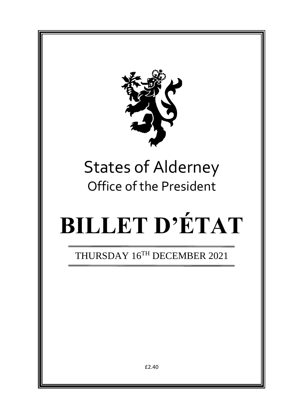

## States of Alderney Office of the President

# **BILLET D'ÉTAT**

THURSDAY 16TH DECEMBER 2021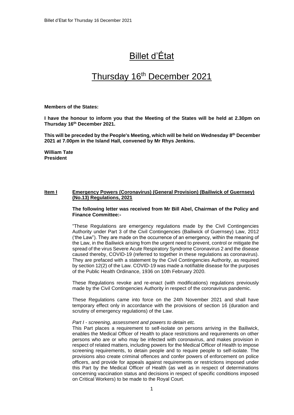## Billet d'État

### Thursday 16<sup>th</sup> December 2021

**Members of the States:**

**I have the honour to inform you that the Meeting of the States will be held at 2.30pm on Thursday 16 th December 2021.** 

**This will be preceded by the People's Meeting, which will be held on Wednesday 8 th December 2021 at 7.00pm in the Island Hall, convened by Mr Rhys Jenkins.**

**William Tate President**

#### **Item I Emergency Powers (Coronavirus) (General Provision) (Bailiwick of Guernsey) (No.13) Regulations, 2021**

**The following letter was received from Mr Bill Abel, Chairman of the Policy and Finance Committee:-**

"These Regulations are emergency regulations made by the Civil Contingencies Authority under Part 3 of the Civil Contingencies (Bailiwick of Guernsey) Law, 2012 ('the Law"). They are made on the occurrence of an emergency, within the meaning of the Law, in the Bailiwick arising from the urgent need to prevent, control or mitigate the spread of the virus Severe Acute Respiratory Syndrome Coronavirus 2 and the disease caused thereby, COVID-19 (referred to together in these regulations as coronavirus). They are prefaced with a statement by the Civil Contingencies Authority, as required by section 12(2) of the Law. COVID-19 was made a notifiable disease for the purposes of the Public Health Ordinance, 1936 on 10th February 2020.

These Regulations revoke and re-enact (with modifications) regulations previously made by the Civil Contingencies Authority in respect of the coronavirus pandemic.

These Regulations came into force on the 24th November 2021 and shall have temporary effect only in accordance with the provisions of section 16 (duration and scrutiny of emergency regulations) of the Law.

#### *Part I - screening, assessment and powers to detain etc.*

This Part places a requirement to self-isolate on persons arriving in the Bailiwick, enables the Medical Officer of Health to place restrictions and requirements on other persons who are or who may be infected with coronavirus, and makes provision in respect of related matters, including powers for the Medical Officer of Health to impose screening requirements, to detain people and to require people to self-isolate. The provisions also create criminal offences and confer powers of enforcement on police officers, and provide for appeals against requirements or restrictions imposed under this Part by the Medical Officer of Health (as well as in respect of determinations concerning vaccination status and decisions in respect of specific conditions imposed on Critical Workers) to be made to the Royal Court.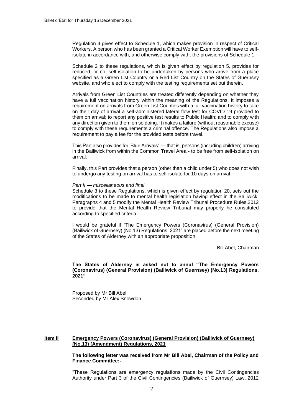Regulation 4 gives effect to Schedule 1, which makes provision in respect of Critical Workers. A person who has been granted a Critical Worker Exemption will have to selfisolate in accordance with, and otherwise comply with, the provisions of Schedule 1.

Schedule 2 to these regulations, which is given effect by regulation 5, provides for reduced, or no, self-isolation to be undertaken by persons who arrive from a place specified as a Green List Country or a Red List Country on the States of Guernsey website, and who elect to comply with the testing requirements set out therein.

Arrivals from Green List Countries are treated differently depending on whether they have a full vaccination history within the meaning of the Regulations. It imposes a requirement on arrivals from Green List Counties with a lull vaccination history to take on their day of arrival a self-administered lateral flow test for COVID 19 provided to them on arrival; to report any positive test results to Public Health; and to comply with any direction given to them on so doing. It makes a failure (without reasonable excuse) to comply with these requirements a criminal offence. The Regulations also impose a requirement to pay a fee for the provided tests before travel.

This Part also provides for 'Blue Arrivals" — that is, persons (including children) arriving in the Bailiwick from within the Common Travel Area - to be free from self-isolation on arrival.

Finally, this Part provides that a person (other than a child under 5) who does not wish to undergo any testing on arrival has to self-isolate for 10 days on arrival.

#### *Part II — miscellaneous and final*

Schedule 3 to these Regulations, which is given effect by regulation 20, sets out the modifications to be made to mental health legislation having effect in the Bailiwick. Paragraphs 4 and 5 modify the Mental Health Review Tribunal Procedure Rules,2012 to provide that the Mental Health Review Tribunal may properly he constituted according to specified criteria.

I would be grateful if "The Emergency Powers (Coronavirus) (General Provision) (Bailiwick of Guernsey) (No.13) Regulations, 2021" are placed before the next meeting of the States of Alderney with an appropriate proposition.

Bill Abel, Chairman

**The States of Alderney is asked not to annul "The Emergency Powers (Coronavirus) (General Provision) (Bailiwick of Guernsey) (No.13) Regulations, 2021"**

Proposed by Mr Bill Abel Seconded by Mr Alex Snowdon

#### **Item II Emergency Powers (Coronavirus) (General Provision) (Bailiwick of Guernsey) (No.13) (Amendment) Regulations, 2021**

**The following letter was received from Mr Bill Abel, Chairman of the Policy and Finance Committee:-**

"These Regulations are emergency regulations made by the Civil Contingencies Authority under Part 3 of the Civil Contingencies (Bailiwick of Guernsey) Law, 2012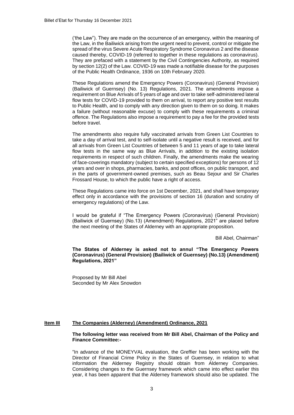('the Law"). They are made on the occurrence of an emergency, within the meaning of the Law, in the Bailiwick arising from the urgent need to prevent, control or mitigate the spread of the virus Severe Acute Respiratory Syndrome Coronavirus 2 and the disease caused thereby, COVID-19 (referred to together in these regulations as coronavirus). They are prefaced with a statement by the Civil Contingencies Authority, as required by section 12(2) of the Law. COVID-19 was made a notifiable disease for the purposes of the Public Health Ordinance, 1936 on 10th February 2020.

These Regulations amend the Emergency Powers (Coronavirus) (General Provision) (Bailiwick of Guernsey) (No. 13) Regulations, 2021. The amendments impose a requirement on Blue Arrivals of 5 years of age and over to take self-administered lateral flow tests for COVID-19 provided to them on arrival, to report any positive test results to Public Health, and to comply with any direction given to them on so doing. It makes a failure (without reasonable excuse) to comply with these requirements a criminal offence. The Regulations also impose a requirement to pay a fee for the provided tests before travel.

The amendments also require fully vaccinated arrivals from Green List Countries to take a day of arrival test, and to self-isolate until a negative result is received, and for all arrivals from Green List Countries of between 5 and 11 years of age to take lateral flow tests in the same way as Blue Arrivals, in addition to the existing isolation requirements in respect of such children. Finally, the amendments make the wearing of face-coverings mandatory (subject to certain specified exceptions) for persons of 12 years and over in shops, pharmacies, banks, and post offices, on public transport, and in the parts of government-owned premises, such as Beau Sejour and Sir Charles Frossard House, to which the public have a right of access.

These Regulations came into force on 1st December, 2021, and shall have temporary effect only in accordance with the provisions of section 16 (duration and scrutiny of emergency regulations) of the Law.

I would be grateful if "The Emergency Powers (Coronavirus) (General Provision) (Bailiwick of Guernsey) (No.13) (Amendment) Regulations, 2021" are placed before the next meeting of the States of Alderney with an appropriate proposition.

Bill Abel, Chairman"

**The States of Alderney is asked not to annul "The Emergency Powers (Coronavirus) (General Provision) (Bailiwick of Guernsey) (No.13) (Amendment) Regulations, 2021"**

Proposed by Mr Bill Abel Seconded by Mr Alex Snowdon

#### **Item III The Companies (Alderney) (Amendment) Ordinance, 2021**

#### **The following letter was received from Mr Bill Abel, Chairman of the Policy and Finance Committee:-**

"In advance of the MONEYVAL evaluation, the Greffier has been working with the Director of Financial Crime Policy in the States of Guernsey, in relation to what information the Alderney Registry should obtain from Alderney Companies. Considering changes to the Guernsey framework which came into effect earlier this year, it has been apparent that the Alderney framework should also be updated. The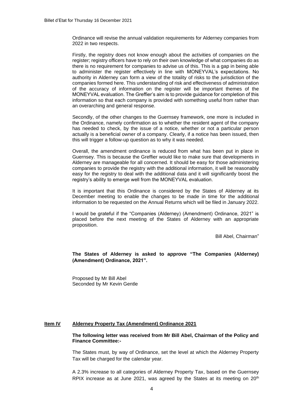Ordinance will revise the annual validation requirements for Alderney companies from 2022 in two respects.

Firstly, the registry does not know enough about the activities of companies on the register; registry officers have to rely on their own knowledge of what companies do as there is no requirement for companies to advise us of this. This is a gap in being able to administer the register effectively in line with MONEYVAL's expectations. No authority in Alderney can form a view of the totality of risks to the jurisdiction of the companies formed here. This understanding of risk and effectiveness of administration of the accuracy of information on the register will be important themes of the MONEYVAL evaluation. The Greffier's aim is to provide guidance for completion of this information so that each company is provided with something useful from rather than an overarching and general response.

Secondly, of the other changes to the Guernsey framework, one more is included in the Ordinance, namely confirmation as to whether the resident agent of the company has needed to check, by the issue of a notice, whether or not a particular person actually is a beneficial owner of a company. Clearly, if a notice has been issued, then this will trigger a follow-up question as to why it was needed.

Overall, the amendment ordinance is reduced from what has been put in place in Guernsey. This is because the Greffier would like to make sure that developments in Alderney are manageable for all concerned. It should be easy for those administering companies to provide the registry with the additional information, it will be reasonably easy for the registry to deal with the additional data and it will significantly boost the registry's ability to emerge well from the MONEYVAL evaluation.

It is important that this Ordinance is considered by the States of Alderney at its December meeting to enable the changes to be made in time for the additional information to be requested on the Annual Returns which will be filed in January 2022.

I would be grateful if the "Companies (Alderney) (Amendment) Ordinance, 2021" is placed before the next meeting of the States of Alderney with an appropriate proposition.

Bill Abel, Chairman"

**The States of Alderney is asked to approve "The Companies (Alderney) (Amendment) Ordinance, 2021".**

Proposed by Mr Bill Abel Seconded by Mr Kevin Gentle

#### **Item IV Alderney Property Tax (Amendment) Ordinance 2021**

#### **The following letter was received from Mr Bill Abel, Chairman of the Policy and Finance Committee:-**

The States must, by way of Ordinance, set the level at which the Alderney Property Tax will be charged for the calendar year.

A 2.3% increase to all categories of Alderney Property Tax, based on the Guernsey RPIX increase as at June 2021, was agreed by the States at its meeting on 20<sup>th</sup>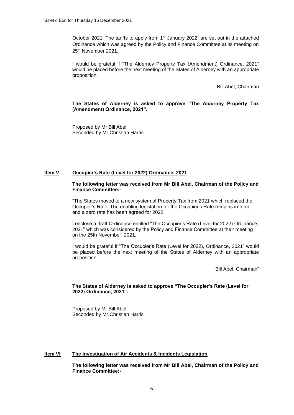October 2021. The tariffs to apply from 1<sup>st</sup> January 2022, are set out in the attached Ordinance which was agreed by the Policy and Finance Committee at its meeting on 25th November 2021.

I would be grateful if "The Alderney Property Tax (Amendment) Ordinance, 2021" would be placed before the next meeting of the States of Alderney with an appropriate proposition.

Bill Abel, Chairman

**The States of Alderney is asked to approve "The Alderney Property Tax (Amendment) Ordinance, 2021".**

Proposed by Mr Bill Abel Seconded by Mr Christian Harris

#### **Item V Occupier's Rate (Level for 2022) Ordinance, 2021**

#### **The following letter was received from Mr Bill Abel, Chairman of the Policy and Finance Committee:-**

"The States moved to a new system of Property Tax from 2021 which replaced the Occupier's Rate. The enabling legislation for the Occupier's Rate remains in force and a zero rate has been agreed for 2022.

I enclose a draft Ordinance entitled "The Occupier's Rate (Level for 2022) Ordinance, 2021" which was considered by the Policy and Finance Committee at their meeting on the 25th November, 2021.

I would be grateful if "The Occupier's Rate (Level for 2022), Ordinance, 2021" would be placed before the next meeting of the States of Alderney with an appropriate proposition.

Bill Abel, Chairman"

#### **The States of Alderney is asked to approve "The Occupier's Rate (Level for 2022) Ordinance, 2021".**

Proposed by Mr Bill Abel Seconded by Mr Christian Harris

#### **Item VI The Investigation of Air Accidents & Incidents Legislation**

**The following letter was received from Mr Bill Abel, Chairman of the Policy and Finance Committee:-**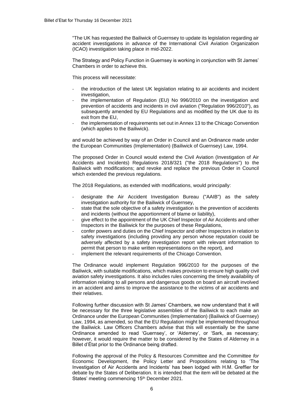"The UK has requested the Bailiwick of Guernsey to update its legislation regarding air accident investigations in advance of the International Civil Aviation Organization (ICAO) investigation taking place in mid-2022.

The Strategy and Policy Function in Guernsey is working in conjunction with St James' Chambers in order to achieve this.

This process will necessitate:

- the introduction of the latest UK legislation relating to air accidents and incident investigation,
- the implementation of Regulation (EU) No 996/2010 on the investigation and prevention of accidents and incidents in civil aviation ("Regulation 996/2010"), as subsequently amended by EU Regulations and as modified by the UK due to its exit from the EU,
- the implementation of requirements set out in Annex 13 to the Chicago Convention (which applies to the Bailiwick).

and would be achieved by way of an Order in Council and an Ordinance made under the European Communities (Implementation) (Bailiwick of Guernsey) Law, 1994.

The proposed Order in Council would extend the Civil Aviation (Investigation of Air Accidents and Incidents) Regulations 2018/321 ("the 2018 Regulations") to the Bailiwick with modifications; and revoke and replace the previous Order in Council which extended the previous regulations.

The 2018 Regulations, as extended with modifications, would principally:

- designate the Air Accident Investigation Bureau ("AAIB") as the safety investigation authority for the Bailiwick of Guernsey,
- state that the sole objective of a safety investigation is the prevention of accidents and incidents (without the apportionment of blame or liability),
- give effect to the appointment of the UK Chief Inspector of Air Accidents and other Inspectors in the Bailiwick for the purposes of these Regulations,
- confer powers and duties on the Chief Inspector and other Inspectors in relation to safety investigations (including providing any person whose reputation could be adversely affected by a safety investigation report with relevant information to permit that person to make written representations on the report), and
- implement the relevant requirements of the Chicago Convention.

The Ordinance would implement Regulation 996/2010 for the purposes of the Bailiwick, with suitable modifications, which makes provision to ensure high quality civil aviation safety investigations. It also includes rules concerning the timely availability of information relating to all persons and dangerous goods on board an aircraft involved in an accident and aims to improve the assistance to the victims of air accidents and their relatives.

Following further discussion with St James' Chambers, we now understand that it will be necessary for the three legislative assemblies of the Bailiwick to each make an Ordinance under the European Communities (Implementation) (Bailiwick of Guernsey) Law, 1994, as amended, so that the EU Regulation might be implemented throughout the Bailiwick. Law Officers Chambers advise that this will essentially be the same Ordinance amended to read 'Guernsey', or 'Alderney', or 'Sark, as necessary; however, it would require the matter to be considered by the States of Alderney in a Billet d'État prior to the Ordinance being drafted.

Following the approval of the Policy & Resources Committee and the Committee *for*  Economic Development, the Policy Letter and Propositions relating to 'The Investigation of Air Accidents and Incidents' has been lodged with H.M. Greffier for debate by the States of Deliberation. It is intended that the item will be debated at the States' meeting commencing 15<sup>th</sup> December 2021.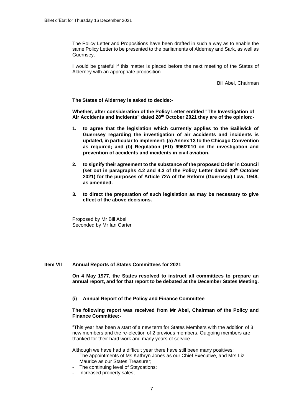The Policy Letter and Propositions have been drafted in such a way as to enable the same Policy Letter to be presented to the parliaments of Alderney and Sark, as well as Guernsey.

I would be grateful if this matter is placed before the next meeting of the States of Alderney with an appropriate proposition.

Bill Abel, Chairman

**The States of Alderney is asked to decide:-**

**Whether, after consideration of the Policy Letter entitled "The Investigation of Air Accidents and Incidents" dated 28th October 2021 they are of the opinion:-**

- **1. to agree that the legislation which currently applies to the Bailiwick of Guernsey regarding the investigation of air accidents and incidents is updated, in particular to implement: (a) Annex 13 to the Chicago Convention as required; and (b) Regulation (EU) 996/2010 on the investigation and prevention of accidents and incidents in civil aviation.**
- **2. to signify their agreement to the substance of the proposed Order in Council (set out in paragraphs 4.2 and 4.3 of the Policy Letter dated 28th October 2021) for the purposes of Article 72A of the Reform (Guernsey) Law, 1948, as amended.**
- **3. to direct the preparation of such legislation as may be necessary to give effect of the above decisions.**

Proposed by Mr Bill Abel Seconded by Mr Ian Carter

#### **Item VII Annual Reports of States Committees for 2021**

**On 4 May 1977, the States resolved to instruct all committees to prepare an annual report, and for that report to be debated at the December States Meeting.**

#### **(i) Annual Report of the Policy and Finance Committee**

#### **The following report was received from Mr Abel, Chairman of the Policy and Finance Committee:-**

"This year has been a start of a new term for States Members with the addition of 3 new members and the re-election of 2 previous members. Outgoing members are thanked for their hard work and many years of service.

Although we have had a difficult year there have still been many positives:

- The appointments of Ms Kathryn Jones as our Chief Executive, and Mrs Liz Maurice as our States Treasurer;
- The continuing level of Staycations;
- Increased property sales;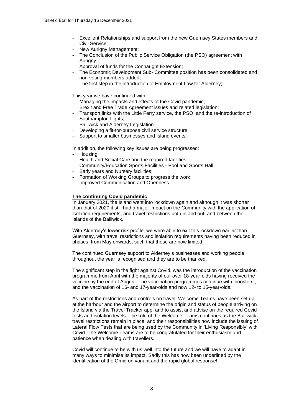- Excellent Relationships and support from the new Guernsey States members and Civil Service;
- New Aurigny Management;
- The Conclusion of the Public Service Obligation (the PSO) agreement with Auriany:
- Approval of funds for the Connaught Extension:
- The Economic Development Sub- Committee position has been consolidated and non-voting members added;
- The first step in the introduction of Employment Law for Alderney;

This year we have continued with:

- Managing the impacts and effects of the Covid pandemic;
- Brexit and Free Trade Agreement issues and related legislation;
- Transport links with the Little Ferry service, the PSO, and the re-introduction of Southampton flights;
- Bailiwick and Alderney Legislation
- Developing a fit-for-purpose civil service structure;
- Support to smaller businesses and Island events.

In addition, the following key issues are being progressed:

- Housing:
- Health and Social Care and the required facilities;
- Community/Education Sports Facilities Pool and Sports Hall;
- Early years and Nursery facilities;
- Formation of Working Groups to progress the work:
- Improved Communication and Openness.

#### **The continuing Covid pandemic**

In January 2021, the Island went into lockdown again and although it was shorter than that of 2020 it still had a major impact on the Community with the application of isolation requirements, and travel restrictions both in and out, and between the Islands of the Bailiwick.

With Alderney's lower risk profile, we were able to exit this lockdown earlier than Guernsey, with travel restrictions and isolation requirements having been reduced in phases, from May onwards, such that these are now limited.

The continued Guernsey support to Alderney's businesses and working people throughout the year is recognised and they are to be thanked.

The significant step in the fight against Covid, was the introduction of the vaccination programme from April with the majority of our over 18-year-olds having received the vaccine by the end of August. The vaccination programmes continue with 'boosters'; and the vaccination of 16- and 17-year-olds and now 12- to 15-year-olds.

As part of the restrictions and controls on travel, Welcome Teams have been set up at the harbour and the airport to determine the origin and status of people arriving on the Island via the Travel Tracker app; and to assist and advise on the required Covid tests and isolation levels. The role of the Welcome Teams continues as the Bailiwick travel restrictions remain in place; and their responsibilities now include the issuing of Lateral Flow Tests that are being used by the Community in 'Living Responsibly' with Covid. The Welcome Teams are to be congratulated for their enthusiasm and patience when dealing with travellers.

Covid will continue to be with us well into the future and we will have to adapt in many ways to minimise its impact. Sadly this has now been underlined by the identification of the Omicron variant and the rapid global response!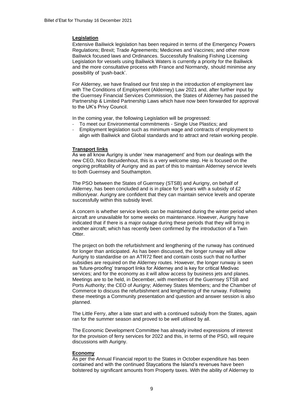#### **Legislation**

Extensive Bailiwick legislation has been required in terms of the Emergency Powers Regulations; Brexit; Trade Agreements; Medicines and Vaccines; and other more Bailiwick focused laws and Ordinances. Successfully finalising Fishing Licensing Legislation for vessels using Bailiwick Waters is currently a priority for the Bailiwick and the more consultative process with France and Normandy, should minimise any possibility of 'push-back'.

For Alderney, we have finalised our first step in the introduction of employment law with The Conditions of Employment (Alderney) Law 2021 and, after further input by the Guernsey Financial Services Commission, the States of Alderney has passed the Partnership & Limited Partnership Laws which have now been forwarded for approval to the UK's Privy Council.

In the coming year, the following Legislation will be progressed:

- To meet our Environmental commitments Single Use Plastics; and
- Employment legislation such as minimum wage and contracts of employment to align with Bailiwick and Global standards and to attract and retain working people.

#### **Transport links**

As we all know Aurigny is under 'new management' and from our dealings with the new CEO, Nico Bezuidenhout, this is a very welcome step. He is focused on the ongoing profitability of Aurigny and as part of this to maintain Alderney service levels to both Guernsey and Southampton.

The PSO between the States of Guernsey (STSB) and Aurigny, on behalf of Alderney, has been concluded and is in place for 5 years with a subsidy of £2 million/year. Aurigny are confident that they can maintain service levels and operate successfully within this subsidy level.

A concern is whether service levels can be maintained during the winter period when aircraft are unavailable for some weeks on maintenance. However, Aurigny have indicated that if there is a major outage during these periods that they will bring in another aircraft; which has recently been confirmed by the introduction of a Twin Otter.

The project on both the refurbishment and lengthening of the runway has continued for longer than anticipated. As has been discussed, the longer runway will allow Aurigny to standardise on an ATR72 fleet and contain costs such that no further subsidies are required on the Alderney routes. However, the longer runway is seen as 'future-proofing' transport links for Alderney and is key for critical Medivac services; and for the economy as it will allow access by business jets and planes. Meetings are to be held, in December, with members of the Guernsey STSB and Ports Authority; the CEO of Aurigny; Alderney States Members; and the Chamber of Commerce to discuss the refurbishment and lengthening of the runway. Following these meetings a Community presentation and question and answer session is also planned.

The Little Ferry, after a late start and with a continued subsidy from the States, again ran for the summer season and proved to be well utilised by all.

The Economic Development Committee has already invited expressions of interest for the provision of ferry services for 2022 and this, in terms of the PSO, will require discussions with Aurigny.

#### **Economy**

As per the Annual Financial report to the States in October expenditure has been contained and with the continued Staycations the Island's revenues have been bolstered by significant amounts from Property taxes. With the ability of Alderney to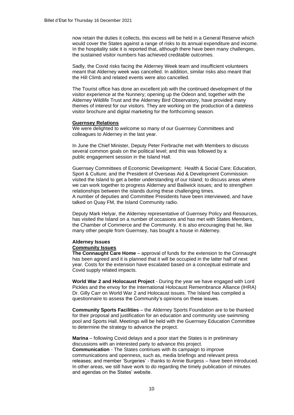now retain the duties it collects, this excess will be held in a General Reserve which would cover the States against a range of risks to its annual expenditure and income. In the hospitality side it is reported that, although there have been many challenges, the sustained visitor numbers has achieved creditable outcomes.

Sadly, the Covid risks facing the Alderney Week team and insufficient volunteers meant that Alderney week was cancelled. In addition, similar risks also meant that the Hill Climb and related events were also cancelled.

The Tourist office has done an excellent job with the continued development of the visitor experience at the Nunnery; opening up the Odeon and, together with the Alderney Wildlife Trust and the Alderney Bird Observatory, have provided many themes of interest for our visitors. They are working on the production of a dateless visitor brochure and digital marketing for the forthcoming season.

#### **Guernsey Relations**

We were delighted to welcome so many of our Guernsey Committees and colleagues to Alderney in the last year.

In June the Chief Minister, Deputy Peter Ferbrache met with Members to discuss several common goals on the political level; and this was followed by a public engagement session in the Island Hall.

Guernsey Committees of Economic Development; Health & Social Care; Education, Sport & Culture; and the President of Overseas Aid & Development Commission visited the Island to get a better understanding of our Island; to discuss areas where we can work together to progress Alderney and Bailiwick issues; and to strengthen relationships between the islands during these challenging times. A number of deputies and Committee Presidents have been interviewed, and have talked on Quay FM, the Island Community radio.

Deputy Mark Helyar, the Alderney representative of Guernsey Policy and Resources, has visited the Island on a number of occasions and has met with States Members, the Chamber of Commerce and the Community. It is also encouraging that he, like many other people from Guernsey, has bought a house in Alderney.

#### **Alderney Issues**

#### **Community Issues**

**The Connaught Care Home** – approval of funds for the extension to the Connaught has been agreed and it is planned that it will be occupied in the latter half of next year. Costs for the extension have escalated based on a conceptual estimate and Covid supply related impacts.

**World War 2 and Holocaust Project** - During the year we have engaged with Lord Pickles and the envoy for the International Holocaust Remembrance Alliance (IHRA) Dr. Gilly Carr on World War 2 and Holocaust issues. The Island has compiled a questionnaire to assess the Community's opinions on these issues.

**Community Sports Facilities** – the Alderney Sports Foundation are to be thanked for their proposal and justification for an education and community use swimming pool and Sports Hall. Meetings will be held with the Guernsey Education Committee to determine the strategy to advance the project.

**Marina** – following Covid delays and a poor start the States is in preliminary discussions with an interested party to advance this project.

**Communication** - The States continues with its campaign to improve communications and openness, such as, media briefings and relevant press releases; and member 'Surgeries' - thanks to Annie Burgess – have been introduced. In other areas, we still have work to do regarding the timely publication of minutes and agendas on the States' website.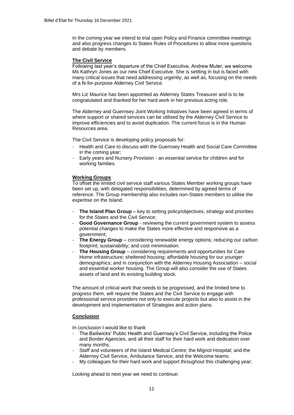In the coming year we intend to trial open Policy and Finance committee meetings and also progress changes to States Rules of Procedures to allow more questions and debate by members.

#### **The Civil Service**

Following last year's departure of the Chief Executive, Andrew Muter, we welcome Ms Kathryn Jones as our new Chief Executive. She is settling in but is faced with many critical issues that need addressing urgently, as well as, focusing on the needs of a fit-for-purpose Alderney Civil Service.

Mrs Liz Maurice has been appointed as Alderney States Treasurer and is to be congratulated and thanked for her hard work in her previous acting role.

The Alderney and Guernsey Joint Working Initiatives have been agreed in terms of where support or shared services can be utilised by the Alderney Civil Service to improve efficiencies and to avoid duplication. The current focus is in the Human Resources area.

The Civil Service is developing policy proposals for:

- Health and Care to discuss with the Guernsey Health and Social Care Committee in the coming year;
- Early years and Nursery Provision an essential service for children and for working families.

#### **Working Groups**

To offset the limited civil service staff various States Member working groups have been set up, with delegated responsibilities, determined by agreed terms of reference. The Group membership also includes non-States members to utilise the expertise on the Island.

- **The Island Plan Group** key to setting policy/objectives, strategy and priorities for the States and the Civil Service;
- **Good Governance Group** reviewing the current government system to assess potential changes to make the States more effective and responsive as a government;
- **The Energy Group** considering renewable energy options; reducing our carbon footprint; sustainability; and cost minimisation.
- The Housing Group considering requirements and opportunities for Care Home infrastructure; sheltered housing; affordable housing for our younger demographics; and in conjunction with the Alderney Housing Association – social and essential worker housing. The Group will also consider the use of States assets of land and its existing building stock.

The amount of critical work that needs to be progressed, and the limited time to progress them, will require the States and the Civil Service to engage with professional service providers not only to execute projects but also to assist in the development and implementation of Strategies and action plans.

#### **Conclusion**

In conclusion I would like to thank

- The Bailiwicks' Public Health and Guernsey's Civil Service, including the Police and Border Agencies, and all their staff for their hard work and dedication over many months.
- Staff and volunteers of the Island Medical Centre; the Mignot Hospital; and the Alderney Civil Service, Ambulance Service, and the Welcome teams.
- My colleagues for their hard work and support throughout this challenging year;

Looking ahead to next year we need to continue: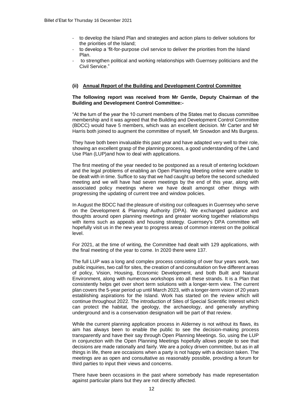- to develop the Island Plan and strategies and action plans to deliver solutions for the priorities of the Island;
- to develop a 'fit-for-purpose civil service to deliver the priorities from the Island Plan.
- to strengthen political and working relationships with Guernsey politicians and the Civil Service."

#### **(ii) Annual Report of the Building and Development Control Committee**

#### **The following report was received from Mr Gentle, Deputy Chairman of the Building and Development Control Committee:-**

"At the turn of the year the 10 current members of the States met to discuss committee membership and it was agreed that the Building and Development Control Committee (BDCC) would have 5 members, which was an excellent decision. Mr Carter and Mr Harris both joined to augment the committee of myself, Mr Snowdon and Ms Burgess.

They have both been invaluable this past year and have adapted very well to their role, showing an excellent grasp of the planning process, a good understanding of the Land Use Plan (LUP)and how to deal with applications.

The first meeting of the year needed to be postponed as a result of entering lockdown and the legal problems of enabling an Open Planning Meeting online were unable to be dealt with in time. Suffice to say that we had caught up before the second scheduled meeting and we will have had seven meetings by the end of this year, along with associated policy meetings where we have dealt amongst other things with progressing the updating of current tree and window policies.

In August the BDCC had the pleasure of visiting our colleagues in Guernsey who serve on the Development & Planning Authority (DPA). We exchanged guidance and thoughts around open planning meetings and greater working together relationships with items such as appeals and housing strategy. Guernsey's DPA committee will hopefully visit us in the new year to progress areas of common interest on the political level.

For 2021, at the time of writing, the Committee had dealt with 129 applications, with the final meeting of the year to come. In 2020 there were 137.

The full LUP was a long and complex process consisting of over four years work, two public inquiries, two call for sites, the creation of and consultation on five different areas of policy, Vision, Housing, Economic Development, and both Built and Natural Environment, along with numerous workshops into all these strands. It is a Plan that consistently helps get over short term solutions with a longer-term view. The current plan covers the 5-year period up until March 2023, with a longer-term vision of 20 years establishing aspirations for the Island. Work has started on the review which will continue throughout 2022. The introduction of Sites of Special Scientific Interest which can protect the habitat, the geology, the archaeology, and generally anything underground and is a conservation designation will be part of that review.

While the current planning application process in Alderney is not without its flaws, its aim has always been to enable the public to see the decision-making process transparently and have their say through Open Planning Meetings. So, using the LUP in conjunction with the Open Planning Meetings hopefully allows people to see that decisions are made rationally and fairly. We are a policy driven committee, but as in all things in life, there are occasions when a party is not happy with a decision taken. The meetings are as open and consultative as reasonably possible, providing a forum for third parties to input their views and concerns.

There have been occasions in the past where somebody has made representation against particular plans but they are not directly affected.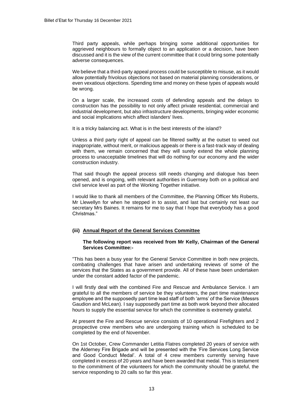Third party appeals, while perhaps bringing some additional opportunities for aggrieved neighbours to formally object to an application or a decision, have been discussed and it is the view of the current committee that it could bring some potentially adverse consequences.

We believe that a third-party appeal process could be susceptible to misuse, as it would allow potentially frivolous objections not based on material planning considerations, or even vexatious objections. Spending time and money on these types of appeals would be wrong.

On a larger scale, the increased costs of defending appeals and the delays to construction has the possibility to not only affect private residential, commercial and industrial development, but also infrastructure developments, bringing wider economic and social implications which affect islanders' lives.

It is a tricky balancing act. What is in the best interests of the island?

Unless a third party right of appeal can be filtered swiftly at the outset to weed out inappropriate, without merit, or malicious appeals or there is a fast-track way of dealing with them, we remain concerned that they will surely extend the whole planning process to unacceptable timelines that will do nothing for our economy and the wider construction industry.

That said though the appeal process still needs changing and dialogue has been opened, and is ongoing, with relevant authorities in Guernsey both on a political and civil service level as part of the Working Together initiative.

I would like to thank all members of the Committee, the Planning Officer Ms Roberts, Mr Llewellyn for when he stepped in to assist, and last but certainly not least our secretary Mrs Baines. It remains for me to say that I hope that everybody has a good Christmas."

#### **(iii) Annual Report of the General Services Committee**

#### **The following report was received from Mr Kelly, Chairman of the General Services Committee:-**

"This has been a busy year for the General Service Committee in both new projects, combating challenges that have arisen and undertaking reviews of some of the services that the States as a government provide. All of these have been undertaken under the constant added factor of the pandemic.

I will firstly deal with the combined Fire and Rescue and Ambulance Service. I am grateful to all the members of service be they volunteers, the part time maintenance employee and the supposedly part time lead staff of both 'arms' of the Service (Messrs Gaudion and McLean). I say supposedly part time as both work beyond their allocated hours to supply the essential service for which the committee is extremely grateful.

At present the Fire and Rescue service consists of 10 operational Firefighters and 2 prospective crew members who are undergoing training which is scheduled to be completed by the end of November.

On 1st October, Crew Commander Letitia Flatres completed 20 years of service with the Alderney Fire Brigade and will be presented with the 'Fire Services Long Service and Good Conduct Medal'. A total of 4 crew members currently serving have completed in excess of 20 years and have been awarded that medal. This is testament to the commitment of the volunteers for which the community should be grateful, the service responding to 20 calls so far this year.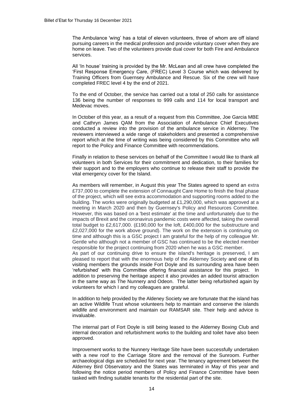The Ambulance 'wing' has a total of eleven volunteers, three of whom are off island pursuing careers in the medical profession and provide voluntary cover when they are home on leave. Two of the volunteers provide dual cover for both Fire and Ambulance services.

All 'In house' training is provided by the Mr. McLean and all crew have completed the 'First Response Emergency Care, (FREC) Level 3 Course which was delivered by Training Officers from Guernsey Ambulance and Rescue. Six of the crew will have completed FREC level 4 by the end of 2021.

To the end of October, the service has carried out a total of 250 calls for assistance 136 being the number of responses to 999 calls and 114 for local transport and Medevac moves.

In October of this year, as a result of a request from this Committee, Joe Garcia MBE and Cathryn James QAM from the Association of Ambulance Chief Executives conducted a review into the provision of the ambulance service in Alderney. The reviewers interviewed a wide range of stakeholders and presented a comprehensive report which at the time of writing was being considered by this Committee who will report to the Policy and Finance Committee with recommendations.

Finally in relation to these services on behalf of the Committee I would like to thank all volunteers in both Services for their commitment and dedication, to their families for their support and to the employers who continue to release their staff to provide the vital emergency cover for the Island.

As members will remember, in August this year The States agreed to spend an extra £737,000 to complete the extension of Connaught Care Home to finish the final phase of the project, which will see extra accommodation and supporting rooms added to the building. The works were originally budgeted at £1,290,000, which was approved at a meeting in March 2020 and then by Guernsey's Policy and Resources Committee. However, this was based on a 'best estimate' at the time and unfortunately due to the impacts of Brexit and the coronavirus pandemic costs were affected, taking the overall total budget to £2,617,000. (£190,000 for the loft, £400,000 for the substructure and £2,027,000 for the work above ground). The work on the extension is continuing on time and although this is a GSC project I am grateful for the help of my colleague Mr. Gentle who although not a member of GSC has continued to be the elected member responsible for the project continuing from 2020 when he was a GSC member.

As part of our continuing drive to ensure the island's heritage is preserved, I am pleased to report that with the enormous help of the Alderney Society and one of its visiting members the grounds inside Fort Doyle and its surrounding area have been 'refurbished' with this Committee offering financial assistance for this project. In addition to preserving the heritage aspect it also provides an added tourist attraction in the same way as The Nunnery and Odeon. The latter being refurbished again by volunteers for which I and my colleagues are grateful.

In addition to help provided by the Aldeney Society we are fortunate that the island has an active Wildlife Trust whose volunteers help to maintain and conserve the islands wildlife and environment and maintain our RAMSAR site. Their help and advice is invaluable.

The internal part of Fort Doyle is still being leased to the Alderney Boxing Club and internal decoration and refurbishment works to the building and toilet have also been approved.

Improvement works to the Nunnery Heritage Site have been successfully undertaken with a new roof to the Carriage Store and the removal of the Sunroom. Further archaeological digs are scheduled for next year. The tenancy agreement between the Alderney Bird Observatory and the States was terminated in May of this year and following the notice period members of Policy and Finance Committee have been tasked with finding suitable tenants for the residential part of the site.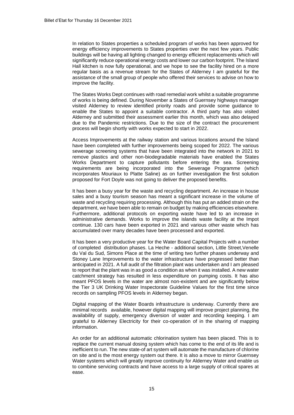In relation to States properties a scheduled program of works has been approved for energy efficiency improvements to States properties over the next few years. Public buildings will be having all lighting changed to energy efficient replacements which will significantly reduce operational energy costs and lower our carbon footprint. The Island Hall kitchen is now fully operational, and we hope to see the facility hired on a more regular basis as a revenue stream for the States of Alderney I am grateful for the assistance of the small group of people who offered their services to advise on how to improve the facility.

The States Works Dept continues with road remedial work whilst a suitable programme of works is being defined. During November a States of Guernsey highways manager visited Alderney to review identified priority roads and provide some guidance to enable the States to appoint a suitable contractor. A third party has also visited Alderney and submitted their assessment earlier this month, which was also delayed due to the Pandemic restrictions. Due to the size of the contract the procurement process will begin shortly with works expected to start in 2022.

Access Improvements at the railway station and various locations around the Island have been completed with further improvements being scoped for 2022. The various sewerage screening systems that have been integrated into the network in 2021 to remove plastics and other non-biodegradable materials have enabled the States Works Department to capture pollutants before entering the sea. Screening requirements are being incorporated into the Sewerage Programme (which incorporates Mouriaux to Platte Saline) as on further investigation the first solution proposed for Fort Doyle was not going to deliver the proposed benefits.

It has been a busy year for the waste and recycling department. An increase in house sales and a busy tourism season has meant a significant increase in the volume of waste and recycling requiring processing. Although this has put an added strain on the department, we have been able to remain on budget by making efficiencies elsewhere. Furthermore, additional protocols on exporting waste have led to an increase in administrative demands. Works to improve the islands waste facility at the Impot continue. 130 cars have been exported in 2021 and various other waste which has accumulated over many decades have been processed and exported.

It has been a very productive year for the Water Board Capital Projects with a number of completed distribution phases. La Heche - additional section, Little Street,Venelle du Val du Sud, Simons Place at the time of writing two further phases underway and Stoney Lane Improvements to the water infrastructure have progressed better than anticipated in 2021. A full audit of the filtration plant was undertaken and I am pleased to report that the plant was in as good a condition as when it was installed. A new water catchment strategy has resulted in less expenditure on pumping costs. It has also meant PFOS levels in the water are almost non-existent and are significantly below the Tier 3 UK Drinking Water Inspectorate Guideline Values for the first time since records on sampling PFOS levels in Alderney began.

Digital mapping of the Water Boards infrastructure is underway. Currently there are minimal records available, however digital mapping will improve project planning, the availability of supply, emergency diversion of water and recording keeping. I am grateful to Alderney Electricity for their co-operation of in the sharing of mapping information.

An order for an additional automatic chlorination system has been placed. This is to replace the current manual dosing system which has come to the end of its life and is inefficient to run. The new state-of art system will automate the manufacture of chlorine on site and is the most energy system out there. It is also a move to mirror Guernsey Water systems which will greatly improve continuity for Alderney Water and enable us to combine servicing contracts and have access to a large supply of critical spares at ease.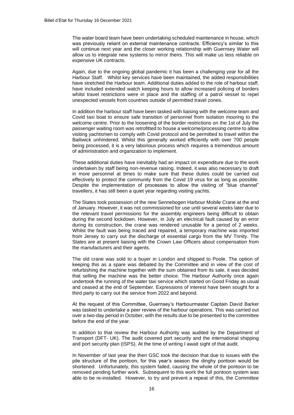The water board team have been undertaking scheduled maintenance in house, which was previously reliant on external maintenance contracts. Efficiency's similar to this will continue next year and the closer working relationship with Guernsey Water will allow us to integrate new systems to mirror theirs. This will make us less reliable on expensive UK contracts.

Again, due to the ongoing global pandemic it has been a challenging year for all the Harbour Staff. Whilst key services have been maintained, the added responsibilities have stretched the Harbour team. Additional duties added to the role of harbour staff, have included extended watch keeping hours to allow increased policing of borders whilst travel restrictions were in place and the staffing of a patrol vessel to repel unexpected vessels from countries outside of permitted travel zones.

In addition the harbour staff have been tasked with liaising with the welcome team and Covid taxi boat to ensure safe transition of personnel from isolation mooring to the welcome centre. Prior to the loosening of the border restrictions on the 1st of July the passenger waiting room was retrofitted to house a welcome/processing centre to allow visiting yachtsmen to comply with Covid protocol and be permitted to travel within the Bailiwick unhindered. Whilst this generally worked efficiently with over 700 people being processed, it is a very laborious process which requires a tremendous amount of administration and organization to implement.

These additional duties have inevitably had an impact on expenditure due to the work undertaken by staff being non-revenue raising. Indeed, it was also necessary to draft in more personnel at times to make sure that these duties could be carried out effectively to protect the community from the Covid 19 virus for as long as possible. Despite the implementation of processes to allow the visiting of "blue channel" travellers, it has still been a quiet year regarding visiting yachts.

The States took possession of the new Sennebogen Harbour Mobile Crane at the end of January. However, it was not commissioned for use until several weeks later due to the relevant travel permissions for the assembly engineers being difficult to obtain during the second lockdown. However, in July an electrical fault caused by an error during its construction, the crane was rendered unusable for a period of 2 weeks. Whilst the fault was being traced and repaired, a temporary machine was imported from Jersey to carry out the discharge of essential cargo from the MV Trinity. The States are at present liaising with the Crown Law Officers about compensation from the manufacturers and their agents.

The old crane was sold to a buyer in London and shipped to Poole. The option of keeping this as a spare was debated by the Committee and in view of the cost of refurbishing the machine together with the sum obtained from its sale, it was decided that selling the machine was the better choice. The Harbour Authority once again undertook the running of the water taxi service which started on Good Friday as usual and ceased at the end of September. Expressions of interest have been sought for a third party to carry out the service from 2022 and beyond.

At the request of this Committee, Guernsey's Harbourmaster Captain David Barker was tasked to undertake a peer review of the harbour operations. This was carried out over a two-day period in October, with the results due to be presented to the committee before the end of the year.

In addition to that review the Harbour Authority was audited by the Department of Transport (DFT- UK). The audit covered port security and the international shipping and port security plan (ISPS). At the time of writing I await sight of that audit.

In November of last year the then GSC took the decision that due to issues with the pile structure of the pontoon, for this year's season the dinghy pontoon would be shortened. Unfortunately, this system failed, causing the whole of the pontoon to be removed pending further work. Subsequent to this work the full pontoon system was able to be re-installed. However, to try and prevent a repeat of this, the Committee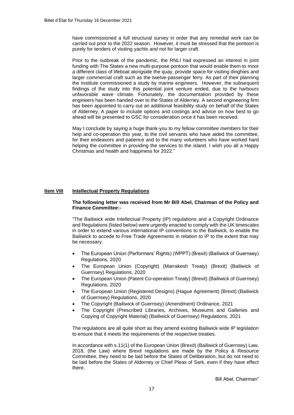have commissioned a full structural survey in order that any remedial work can be carried out prior to the 2022 season. However, it must be stressed that the pontoon is purely for tenders of visiting yachts and not for larger craft.

Prior to the outbreak of the pandemic, the RNLI had expressed an interest in joint funding with The States a new multi-purpose pontoon that would enable them to moor a different class of lifeboat alongside the quay, provide space for visiting dinghies and larger commercial craft such as the twelve-passenger ferry. As part of their planning the Institute commissioned a study by marine engineers. However, the subsequent findings of the study into this potential joint venture ended, due to the harbours unfavorable wave climate. Fortunately, the documentation provided by these engineers has been handed over to the States of Alderney. A second engineering firm has been appointed to carry out an additional feasibility study on behalf of the States of Alderney. A paper to include options and costings and advice on how best to go ahead will be presented to GSC for consideration once it has been received.

May I conclude by saying a huge thank-you to my fellow committee members for their help and co-operation this year, to the civil servants who have aided the committee, for their endeavors and patience and to the many volunteers who have worked hard helping the committee in providing the services to the island. I wish you all a Happy Christmas and health and happiness for 2022."

#### **Item VIII Intellectual Property Regulations**

#### **The following letter was received from Mr Bill Abel, Chairman of the Policy and Finance Committee:-**

"The Bailiwick wide Intellectual Property (IP) regulations and a Copyright Ordinance and Regulations (listed below) were urgently enacted to comply with the UK timescales in order to extend various international IP conventions to the Bailiwick, to enable the Bailiwick to accede to Free Trade Agreements in relation to IP to the extent that may be necessary.

- [The European Union \(Performers' Rights\) \(WPPT\) \(Brexit\) \(Bailiwick of Guernsey\)](https://www.guernseylegalresources.gg/CHttpHandler.ashx?documentid=81670)  [Regulations, 2020](https://www.guernseylegalresources.gg/CHttpHandler.ashx?documentid=81670)
- [The European Union \(Copyright\) \(Marrakesh Treaty\) \(Brexit\) \(Bailiwick of](https://www.guernseylegalresources.gg/CHttpHandler.ashx?documentid=81480)  [Guernsey\) Regulations, 2020](https://www.guernseylegalresources.gg/CHttpHandler.ashx?documentid=81480)
- [The European Union \(Patent Co-operation Treaty\) \(Brexit\) \(Bailiwick of Guernsey\)](https://www.guernseylegalresources.gg/CHttpHandler.ashx?documentid=81669)  [Regulations, 2020](https://www.guernseylegalresources.gg/CHttpHandler.ashx?documentid=81669)
- [The European Union \(Registered Designs\) \(Hague Agreement\) \(Brexit\) \(Bailiwick](https://www.guernseylegalresources.gg/CHttpHandler.ashx?documentid=81671)  [of Guernsey\) Regulations, 2020](https://www.guernseylegalresources.gg/CHttpHandler.ashx?documentid=81671)
- [The Copyright \(Bailiwick of Guernsey\) \(Amendment\) Ordinance, 2021](https://www.guernseylegalresources.gg/CHttpHandler.ashx?documentid=82208)
- [The Copyright \(Prescribed Libraries, Archives, Museums and Galleries](https://www.guernseylegalresources.gg/CHttpHandler.ashx?documentid=82211) and [Copying of Copyright Material\) \(Bailiwick of Guernsey\) Regulations, 2021](https://www.guernseylegalresources.gg/CHttpHandler.ashx?documentid=82211)

The regulations are all quite short as they amend existing Bailiwick wide IP legislation to ensure that it meets the requirements of the respective treaties.

In accordance with s.11(1) of the European Union (Brexit) (Bailiwick of Guernsey) Law, 2018, (the Law) where Brexit regulations are made by the Policy & Resource Committee, they need to be laid before the States of Deliberation, but do not need to be laid before the States of Alderney or Chief Pleas of Sark, even if they have effect there.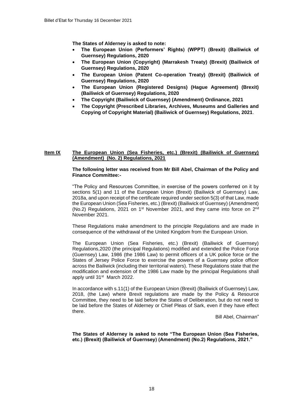**The States of Alderney is asked to note:**

- **The European Union (Performers' Rights) (WPPT) (Brexit) (Bailiwick of [Guernsey\) Regulations, 2020](https://www.guernseylegalresources.gg/CHttpHandler.ashx?documentid=81670)**
- **[The European Union \(Copyright\) \(Marrakesh Treaty\) \(Brexit\) \(Bailiwick of](https://www.guernseylegalresources.gg/CHttpHandler.ashx?documentid=81480)  [Guernsey\) Regulations, 2020](https://www.guernseylegalresources.gg/CHttpHandler.ashx?documentid=81480)**
- **[The European Union \(Patent Co-operation Treaty\) \(Brexit\) \(Bailiwick of](https://www.guernseylegalresources.gg/CHttpHandler.ashx?documentid=81669)  [Guernsey\) Regulations, 2020](https://www.guernseylegalresources.gg/CHttpHandler.ashx?documentid=81669)**
- **[The European Union \(Registered Designs\) \(Hague Agreement\) \(Brexit\)](https://www.guernseylegalresources.gg/CHttpHandler.ashx?documentid=81671)  [\(Bailiwick of Guernsey\) Regulations, 2020](https://www.guernseylegalresources.gg/CHttpHandler.ashx?documentid=81671)**
- **[The Copyright \(Bailiwick of Guernsey\) \(Amendment\) Ordinance, 2021](https://www.guernseylegalresources.gg/CHttpHandler.ashx?documentid=82208)**
- **[The Copyright \(Prescribed Libraries, Archives, Museums and Galleries and](https://www.guernseylegalresources.gg/CHttpHandler.ashx?documentid=82211) [Copying of Copyright Material\) \(Bailiwick of Guernsey\) Regulations, 2021](https://www.guernseylegalresources.gg/CHttpHandler.ashx?documentid=82211)**.

#### **Item IX The European Union (Sea Fisheries, etc.) (Brexit) (Bailiwick of Guernsey) (Amendment) (No. 2) Regulations, 2021**

#### **The following letter was received from Mr Bill Abel, Chairman of the Policy and Finance Committee:-**

"The Policy and Resources Committee, in exercise of the powers conferred on it by sections 5(1) and 11 of the European Union (Brexit) (Bailiwick of Guernsey) Law, 2018a, and upon receipt of the certificate required under section 5(3) of that Law, made the European Union (Sea Fisheries, etc.) (Brexit) (Bailiwick of Guernsey) (Amendment) (No.2) Regulations, 2021 on  $1<sup>st</sup>$  November 2021, and they came into force on  $2<sup>nd</sup>$ November 2021.

These Regulations make amendment to the principle Regulations and are made in consequence of the withdrawal of the United Kingdom from the European Union.

The European Union (Sea Fisheries, etc.) (Brexit) (Bailiwick of Guernsey) Regulations,2020 (the principal Regulations) modified and extended the Police Force (Guernsey) Law, 1986 (the 1986 Law) to permit officers of a UK police force or the States of Jersey Police Force to exercise the powers of a Guernsey police officer across the Bailiwick (including their territorial waters). These Regulations state that the modification and extension of the 1986 Law made by the principal Regulations shall apply until 31<sup>st</sup> March 2022.

In accordance with s.11(1) of the European Union (Brexit) (Bailiwick of Guernsey) Law, 2018, (the Law) where Brexit regulations are made by the Policy & Resource Committee, they need to be laid before the States of Deliberation, but do not need to be laid before the States of Alderney or Chief Pleas of Sark, even if they have effect there.

Bill Abel, Chairman"

**The States of Alderney is asked to note "The European Union (Sea Fisheries, etc.) (Brexit) (Bailiwick of Guernsey) (Amendment) (No.2) Regulations, 2021."**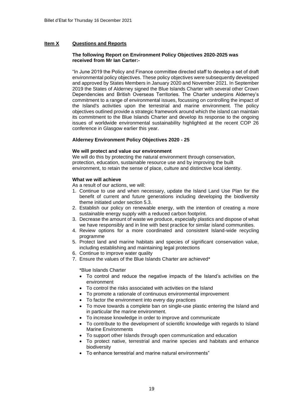#### **Item X Questions and Reports**

#### **The following Report on Environment Policy Objectives 2020-2025 was received from Mr Ian Carter:-**

"In June 2019 the Policy and Finance committee directed staff to develop a set of draft environmental policy objectives. These policy objectives were subsequently developed and approved by States Members in January 2020 and November 2021. In September 2019 the States of Alderney signed the Blue Islands Charter with several other Crown Dependencies and British Overseas Territories. The Charter underpins Alderney's commitment to a range of environmental issues, focussing on controlling the impact of the Island's activities upon the terrestrial and marine environment. The policy objectives outlined provide a strategic framework around which the island can maintain its commitment to the Blue Islands Charter and develop its response to the ongoing issues of worldwide environmental sustainability highlighted at the recent COP 26 conference in Glasgow earlier this year.

#### **Alderney Environment Policy Objectives 2020 - 25**

#### **We will protect and value our environment**

We will do this by protecting the natural environment through conservation, protection, education, sustainable resource use and by improving the built environment, to retain the sense of place, culture and distinctive local identity.

#### **What we will achieve**

As a result of our actions, we will:

- 1. Continue to use and when necessary, update the Island Land Use Plan for the benefit of current and future generations including developing the biodiversity theme initiated under section 5.3.
- 2. Establish our policy on renewable energy, with the intention of creating a more sustainable energy supply with a reduced carbon footprint.
- 3. Decrease the amount of waste we produce, especially plastics and dispose of what we have responsibly and in line with best practice for similar island communities.
- 4. Review options for a more coordinated and consistent Island-wide recycling programme
- 5. Protect land and marine habitats and species of significant conservation value, including establishing and maintaining legal protections
- 6. Continue to improve water quality
- 7. Ensure the values of the Blue Islands Charter are achieved\*

\*Blue Islands Charter

- To control and reduce the negative impacts of the Island's activities on the environment
- To control the risks associated with activities on the Island
- To promote a rationale of continuous environmental improvement
- To factor the environment into every day practices
- To move towards a complete ban on single-use plastic entering the Island and in particular the marine environment.
- To increase knowledge in order to improve and communicate
- To contribute to the development of scientific knowledge with regards to Island Marine Environments
- To support other Islands through open communication and education
- To protect native, terrestrial and marine species and habitats and enhance biodiversity
- To enhance terrestrial and marine natural environments"